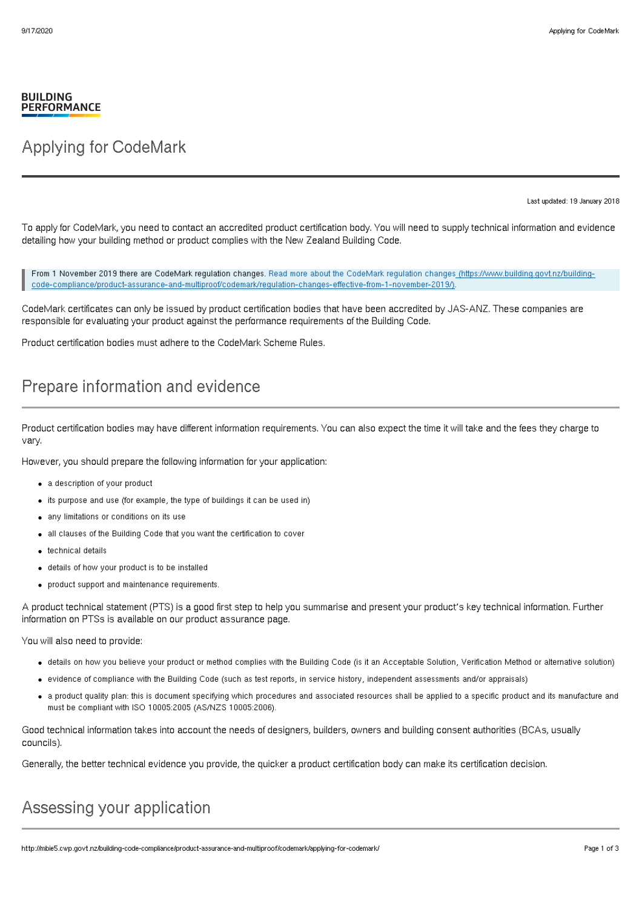#### **BUILDING PERFORMANCE**

## Applying for CodeMark

Last updated: 19 January 2018

To apply for CodeMark, you need to contact an accredited product certification body. You will need to supply technical information and evidence detailing how your building method or product complies with the New Zealand Building Code.

From 1 November 2019 there are CodeMark regulation changes. Read more about the CodeMark regulation changes (https://www.building.govt.nz/building[code-compliance/product-assurance-and-multiproof/codemark/regulation-changes-effective-from-1-november-2019/\).](http://mbie5.cwp.govt.nz/building-code-compliance/product-assurance-and-multiproof/codemark/regulation-changes-effective-from-1-november-2019/)

CodeMark certificates can only be issued by product certification bodies that have been accredited by JAS-ANZ. These companies are responsible for evaluating your product against the performance requirements of the Building Code.

Product certification bodies must adhere to the CodeMark Scheme Rules.

## Prepare information and evidence

Product certification bodies may have different information requirements. You can also expect the time it will take and the fees they charge to vary.

However, you should prepare the following information for your application:

- a description of your product
- $\bullet$  its purpose and use (for example, the type of buildings it can be used in)
- any limitations or conditions on its use
- all clauses of the Building Code that you want the certification to cover
- technical details
- details of how your product is to be installed
- product support and maintenance requirements.

A product technical statement (PTS) is a good first step to help you summarise and present your product's key technical information. Further information on PTSs is available on our product assurance page.

You will also need to provide:

- details on how you believe your product or method complies with the Building Code (is it an Acceptable Solution, Verification Method or alternative solution)
- evidence of compliance with the Building Code (such as test reports, in service history, independent assessments and/or appraisals)
- a product quality plan: this is document specifying which procedures and associated resources shall be applied to a specific product and its manufacture and must be compliant with ISO 10005:2005 (AS/NZS 10005:2006).

Good technical information takes into account the needs of designers, builders, owners and building consent authorities (BCAs, usually councils).

Generally, the better technical evidence you provide, the quicker a product certification body can make its certification decision.

# Assessing your application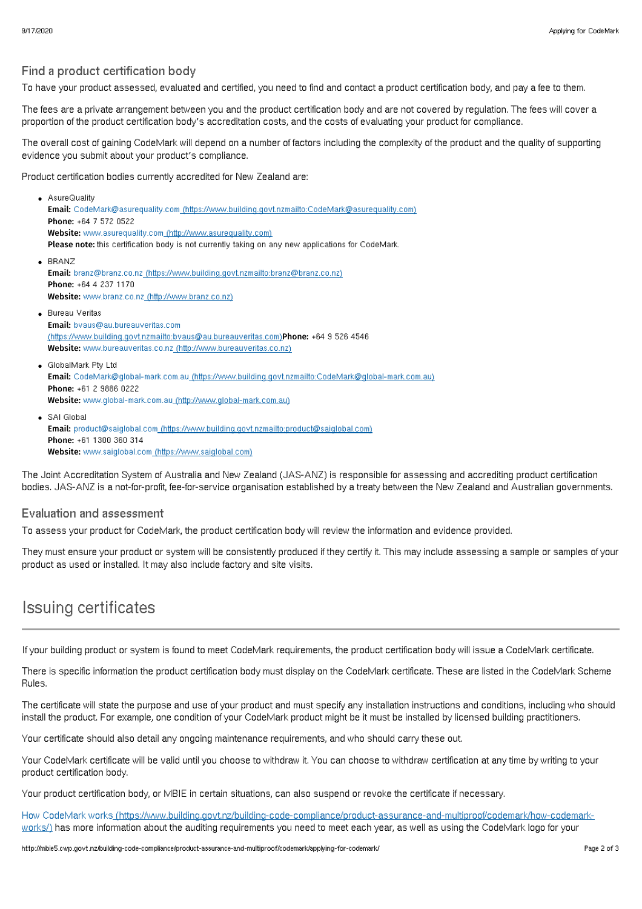### Find a product certification body

To have your product assessed, evaluated and certified, you need to find and contact a product certification body, and pay a fee to them.

The fees are a private arrangement between you and the product certification body and are not covered by regulation. The fees will cover a proportion of the product certification body's accreditation costs, and the costs of evaluating your product for compliance.

The overall cost of gaining CodeMark will depend on a number of factors including the complexity of the product and the quality of supporting evidence you submit about your product's compliance.

Product certification bodies currently accredited for New Zealand are:

- AsureQuality Email: CodeMark@asurequality.com [\(https://www.building.govt.nzmailto:CodeMark@asurequality.com\)](mailto:CodeMark@asurequality.com) Phone: +64 7 572 0522 Website: www.asurequality.com [\(http://www.asurequality.com\)](http://www.asurequality.com) Please note: this certification body is not currently taking on any new applications for CodeMark. . BRANZ Email: branz@branz.co.nz [\(https://www.building.govt.nzmailto:branz@branz.co.nz\)](mailto:branz@branz.co.nz) Phone: +64 4 237 1170 Website: www.branz.co.nz [\(http://www.branz.co.nz\)](http://www.branz.co.nz) **• Bureau Veritas** Email: bvaus@au.bureauveritas.com [\(https://www.building.govt.nzmailto:bvaus@au.bureauveritas.com\)](mailto:bvaus@au.bureauveritas.com)Phone: +64 9 526 4546 Website: www.bureauveritas.co.nz [\(http://www.bureauveritas.co.nz\)](http://www.bureauveritas.co.nz) GlobalMark Pty Ltd
- Email: CodeMark@global-mark.com.au [\(https://www.building.govt.nzmailto:CodeMark@global-mark.com.au\)](mailto:CodeMark@global-mark.com.au) Phone: +61 2 9886 0222 Website: www.global-mark.com.au [\(http://www.global-mark.com.au\)](http://www.global-mark.com.au)
- SAI Global Email: product@saiglobal.com [\(https://www.building.govt.nzmailto:product@saiglobal.com\)](mailto:product@saiglobal.com) Phone: +61 1300 360 314 Website: www.saiglobal.com [\(https://www.saiglobal.com\)](https://www.saiglobal.com)

The Joint Accreditation System of Australia and New Zealand (JAS-ANZ) is responsible for assessing and accrediting product certification bodies. JAS-ANZ is a not-for-profit, fee-for-service organisation established by a treaty between the New Zealand and Australian governments.

### Evaluation and assessment

To assess your product for CodeMark, the product certification body will review the information and evidence provided.

They must ensure your product or system will be consistently produced if they certify it. This may include assessing a sample or samples of your product as used or installed. It may also include factory and site visits.

## Issuing certificates

If your building product or system is found to meet CodeMark requirements, the product certification body will issue a CodeMark certificate.

There is specific information the product certification body must display on the CodeMark certificate. These are listed in the CodeMark Scheme Rules.

The certificate will state the purpose and use of your product and must specify any installation instructions and conditions, including who should install the product. For example, one condition of your CodeMark product might be it must be installed by licensed building practitioners.

Your certificate should also detail any ongoing maintenance requirements, and who should carry these out.

Your CodeMark certificate will be valid until you choose to withdraw it. You can choose to withdraw certification at any time by writing to your product certification body.

Your product certification body, or MBIE in certain situations, can also suspend or revoke the certificate if necessary.

How CodeMark works [\(https://www.building.govt.nz/building-code-compliance/product-assurance-and-multiproof/codemark/how-codemark](http://mbie5.cwp.govt.nz/building-code-compliance/product-assurance-and-multiproof/codemark/how-codemark-works/)works/) has more information about the auditing requirements you need to meet each year, as well as using the CodeMark logo for your